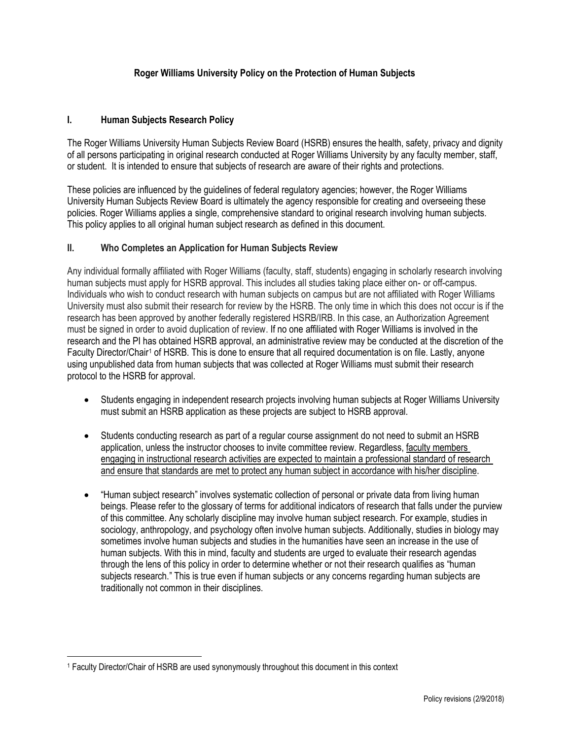# **Roger Williams University Policy on the Protection of Human Subjects**

### **I. Human Subjects Research Policy**

The Roger Williams University Human Subjects Review Board (HSRB) ensures the health, safety, privacy and dignity of all persons participating in original research conducted at Roger Williams University by any faculty member, staff, or student. It is intended to ensure that subjects of research are aware of their rights and protections.

These policies are influenced by the guidelines of federal regulatory agencies; however, the Roger Williams University Human Subjects Review Board is ultimately the agency responsible for creating and overseeing these policies. Roger Williams applies a single, comprehensive standard to original research involving human subjects. This policy applies to all original human subject research as defined in this document.

### **II. Who Completes an Application for Human Subjects Review**

Any individual formally affiliated with Roger Williams (faculty, staff, students) engaging in scholarly research involving human subjects must apply for HSRB approval. This includes all studies taking place either on- or off-campus. Individuals who wish to conduct research with human subjects on campus but are not affiliated with Roger Williams University must also submit their research for review by the HSRB. The only time in which this does not occur is if the research has been approved by another federally registered HSRB/IRB. In this case, an Authorization Agreement must be signed in order to avoid duplication of review. If no one affiliated with Roger Williams is involved in the research and the PI has obtained HSRB approval, an administrative review may be conducted at the discretion of the Faculty Director/Chair<sup>1</sup> of HSRB. This is done to ensure that all required documentation is on file. Lastly, anyone using unpublished data from human subjects that was collected at Roger Williams must submit their research protocol to the HSRB for approval.

- Students engaging in independent research projects involving human subjects at Roger Williams University must submit an HSRB application as these projects are subject to HSRB approval.
- Students conducting research as part of a regular course assignment do not need to submit an HSRB application, unless the instructor chooses to invite committee review. Regardless, faculty members engaging in instructional research activities are expected to maintain a professional standard of research and ensure that standards are met to protect any human subject in accordance with his/her discipline.
- "Human subject research" involves systematic collection of personal or private data from living human beings. Please refer to the glossary of terms for additional indicators of research that falls under the purview of this committee. Any scholarly discipline may involve human subject research. For example, studies in sociology, anthropology, and psychology often involve human subjects. Additionally, studies in biology may sometimes involve human subjects and studies in the humanities have seen an increase in the use of human subjects. With this in mind, faculty and students are urged to evaluate their research agendas through the lens of this policy in order to determine whether or not their research qualifies as "human subjects research." This is true even if human subjects or any concerns regarding human subjects are traditionally not common in their disciplines.

 $\overline{a}$ 

<sup>1</sup> Faculty Director/Chair of HSRB are used synonymously throughout this document in this context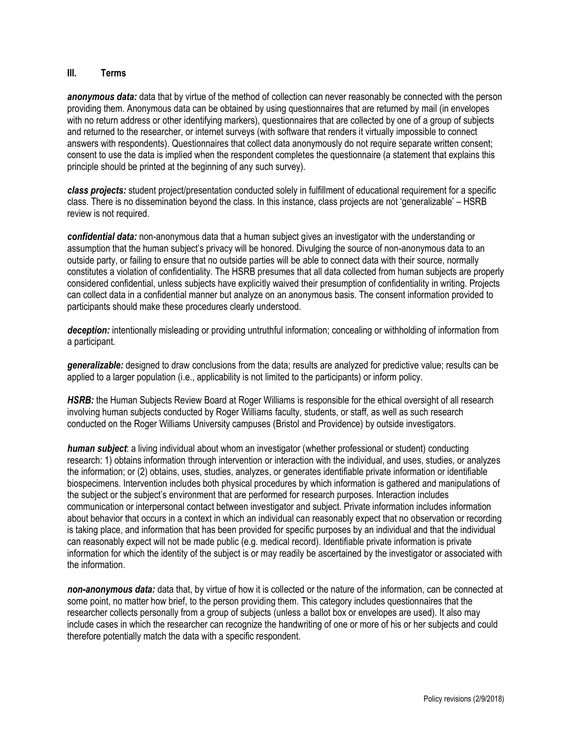### **III. Terms**

*anonymous data:* data that by virtue of the method of collection can never reasonably be connected with the person providing them. Anonymous data can be obtained by using questionnaires that are returned by mail (in envelopes with no return address or other identifying markers), questionnaires that are collected by one of a group of subjects and returned to the researcher, or internet surveys (with software that renders it virtually impossible to connect answers with respondents). Questionnaires that collect data anonymously do not require separate written consent; consent to use the data is implied when the respondent completes the questionnaire (a statement that explains this principle should be printed at the beginning of any such survey).

*class projects:* student project/presentation conducted solely in fulfillment of educational requirement for a specific class. There is no dissemination beyond the class. In this instance, class projects are not 'generalizable' – HSRB review is not required.

*confidential data:* non-anonymous data that a human subject gives an investigator with the understanding or assumption that the human subject's privacy will be honored. Divulging the source of non-anonymous data to an outside party, or failing to ensure that no outside parties will be able to connect data with their source, normally constitutes a violation of confidentiality. The HSRB presumes that all data collected from human subjects are properly considered confidential, unless subjects have explicitly waived their presumption of confidentiality in writing. Projects can collect data in a confidential manner but analyze on an anonymous basis. The consent information provided to participants should make these procedures clearly understood.

*deception:* intentionally misleading or providing untruthful information; concealing or withholding of information from a participant.

*generalizable:* designed to draw conclusions from the data; results are analyzed for predictive value; results can be applied to a larger population (i.e., applicability is not limited to the participants) or inform policy.

HSRB: the Human Subjects Review Board at Roger Williams is responsible for the ethical oversight of all research involving human subjects conducted by Roger Williams faculty, students, or staff, as well as such research conducted on the Roger Williams University campuses (Bristol and Providence) by outside investigators.

*human subject*: a living individual about whom an investigator (whether professional or student) conducting research: 1) obtains information through intervention or interaction with the individual, and uses, studies, or analyzes the information; or (2) obtains, uses, studies, analyzes, or generates identifiable private information or identifiable biospecimens. Intervention includes both physical procedures by which information is gathered and manipulations of the subject or the subject's environment that are performed for research purposes. Interaction includes communication or interpersonal contact between investigator and subject. Private information includes information about behavior that occurs in a context in which an individual can reasonably expect that no observation or recording is taking place, and information that has been provided for specific purposes by an individual and that the individual can reasonably expect will not be made public (e.g. medical record). Identifiable private information is private information for which the identity of the subject is or may readily be ascertained by the investigator or associated with the information.

*non-anonymous data:* data that, by virtue of how it is collected or the nature of the information, can be connected at some point, no matter how brief, to the person providing them. This category includes questionnaires that the researcher collects personally from a group of subjects (unless a ballot box or envelopes are used). It also may include cases in which the researcher can recognize the handwriting of one or more of his or her subjects and could therefore potentially match the data with a specific respondent.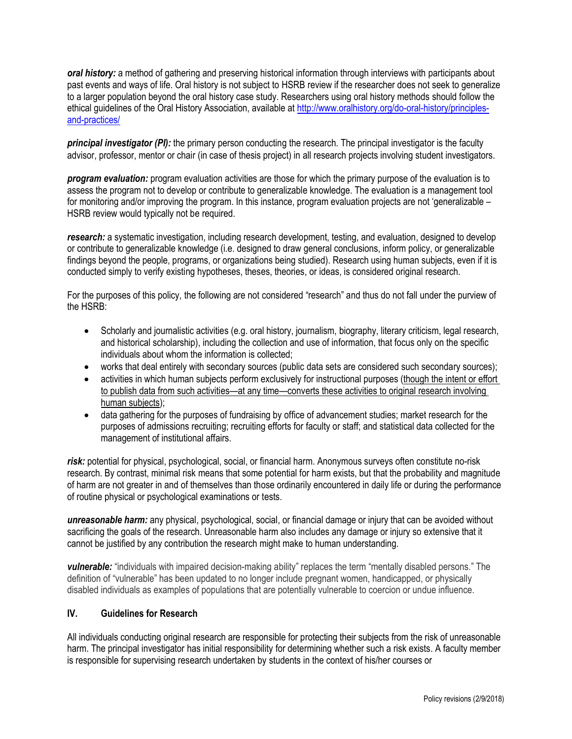*oral history:* a method of gathering and preserving historical information through interviews with participants about past events and ways of life. Oral history is not subject to HSRB review if the researcher does not seek to generalize to a larger population beyond the oral history case study. Researchers using oral history methods should follow the ethical guidelines of the Oral History Association, available at [http://www.oralhistory.org/do-oral-history/principles](http://www.oralhistory.org/do-oral-history/principles-and-practices/)[and-practices/](http://www.oralhistory.org/do-oral-history/principles-and-practices/)

*principal investigator (PI):* the primary person conducting the research. The principal investigator is the faculty advisor, professor, mentor or chair (in case of thesis project) in all research projects involving student investigators.

*program evaluation:* program evaluation activities are those for which the primary purpose of the evaluation is to assess the program not to develop or contribute to generalizable knowledge. The evaluation is a management tool for monitoring and/or improving the program. In this instance, program evaluation projects are not 'generalizable – HSRB review would typically not be required.

*research:* a systematic investigation, including research development, testing, and evaluation, designed to develop or contribute to generalizable knowledge (i.e. designed to draw general conclusions, inform policy, or generalizable findings beyond the people, programs, or organizations being studied). Research using human subjects, even if it is conducted simply to verify existing hypotheses, theses, theories, or ideas, is considered original research.

For the purposes of this policy, the following are not considered "research" and thus do not fall under the purview of the HSRB:

- Scholarly and journalistic activities (e.g. oral history, journalism, biography, literary criticism, legal research, and historical scholarship), including the collection and use of information, that focus only on the specific individuals about whom the information is collected;
- works that deal entirely with secondary sources (public data sets are considered such secondary sources);
- activities in which human subjects perform exclusively for instructional purposes (though the intent or effort to publish data from such activities—at any time—converts these activities to original research involving human subjects);
- data gathering for the purposes of fundraising by office of advancement studies; market research for the purposes of admissions recruiting; recruiting efforts for faculty or staff; and statistical data collected for the management of institutional affairs.

*risk:* potential for physical, psychological, social, or financial harm. Anonymous surveys often constitute no-risk research. By contrast, minimal risk means that some potential for harm exists, but that the probability and magnitude of harm are not greater in and of themselves than those ordinarily encountered in daily life or during the performance of routine physical or psychological examinations or tests.

*unreasonable harm:* any physical, psychological, social, or financial damage or injury that can be avoided without sacrificing the goals of the research. Unreasonable harm also includes any damage or injury so extensive that it cannot be justified by any contribution the research might make to human understanding.

*vulnerable:* "individuals with impaired decision-making ability" replaces the term "mentally disabled persons." The definition of "vulnerable" has been updated to no longer include pregnant women, handicapped, or physically disabled individuals as examples of populations that are potentially vulnerable to coercion or undue influence.

# **IV. Guidelines for Research**

All individuals conducting original research are responsible for protecting their subjects from the risk of unreasonable harm. The principal investigator has initial responsibility for determining whether such a risk exists. A faculty member is responsible for supervising research undertaken by students in the context of his/her courses or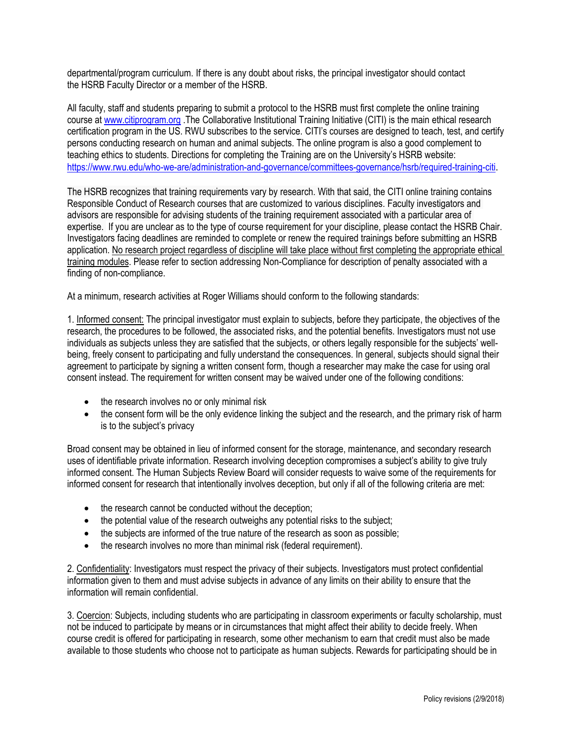departmental/program curriculum. If there is any doubt about risks, the principal investigator should contact the HSRB Faculty Director or a member of the HSRB.

All faculty, staff and students preparing to submit a protocol to the HSRB must first complete the online training course a[t www.citiprogram.org](http://www.citiprogram.org/) .The Collaborative Institutional Training Initiative (CITI) is the main ethical research certification program in the US. RWU subscribes to the service. CITI's courses are designed to teach, test, and certify persons conducting research on human and animal subjects. The online program is also a good complement to teaching ethics to students. Directions for completing the Training are on the University's HSRB website: <https://www.rwu.edu/who-we-are/administration-and-governance/committees-governance/hsrb/required-training-citi>.

The HSRB recognizes that training requirements vary by research. With that said, the CITI online training contains Responsible Conduct of Research courses that are customized to various disciplines. Faculty investigators and advisors are responsible for advising students of the training requirement associated with a particular area of expertise. If you are unclear as to the type of course requirement for your discipline, please contact the HSRB Chair. Investigators facing deadlines are reminded to complete or renew the required trainings before submitting an HSRB application. No research project regardless of discipline will take place without first completing the appropriate ethical training modules. Please refer to section addressing Non-Compliance for description of penalty associated with a finding of non-compliance.

At a minimum, research activities at Roger Williams should conform to the following standards:

1. Informed consent: The principal investigator must explain to subjects, before they participate, the objectives of the research, the procedures to be followed, the associated risks, and the potential benefits. Investigators must not use individuals as subjects unless they are satisfied that the subjects, or others legally responsible for the subjects' wellbeing, freely consent to participating and fully understand the consequences. In general, subjects should signal their agreement to participate by signing a written consent form, though a researcher may make the case for using oral consent instead. The requirement for written consent may be waived under one of the following conditions:

- the research involves no or only minimal risk
- the consent form will be the only evidence linking the subject and the research, and the primary risk of harm is to the subject's privacy

Broad consent may be obtained in lieu of informed consent for the storage, maintenance, and secondary research uses of identifiable private information. Research involving deception compromises a subject's ability to give truly informed consent. The Human Subjects Review Board will consider requests to waive some of the requirements for informed consent for research that intentionally involves deception, but only if all of the following criteria are met:

- the research cannot be conducted without the deception;
- the potential value of the research outweighs any potential risks to the subject;
- the subjects are informed of the true nature of the research as soon as possible;
- the research involves no more than minimal risk (federal requirement).

2. Confidentiality: Investigators must respect the privacy of their subjects. Investigators must protect confidential information given to them and must advise subjects in advance of any limits on their ability to ensure that the information will remain confidential.

3. Coercion: Subjects, including students who are participating in classroom experiments or faculty scholarship, must not be induced to participate by means or in circumstances that might affect their ability to decide freely. When course credit is offered for participating in research, some other mechanism to earn that credit must also be made available to those students who choose not to participate as human subjects. Rewards for participating should be in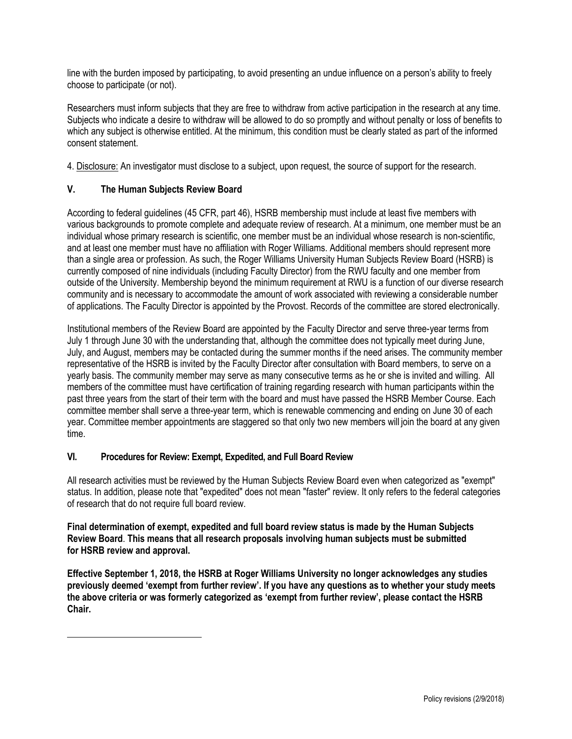line with the burden imposed by participating, to avoid presenting an undue influence on a person's ability to freely choose to participate (or not).

Researchers must inform subjects that they are free to withdraw from active participation in the research at any time. Subjects who indicate a desire to withdraw will be allowed to do so promptly and without penalty or loss of benefits to which any subject is otherwise entitled. At the minimum, this condition must be clearly stated as part of the informed consent statement.

4. Disclosure: An investigator must disclose to a subject, upon request, the source of support for the research.

# **V. The Human Subjects Review Board**

According to federal guidelines (45 CFR, part 46), HSRB membership must include at least five members with various backgrounds to promote complete and adequate review of research. At a minimum, one member must be an individual whose primary research is scientific, one member must be an individual whose research is non-scientific, and at least one member must have no affiliation with Roger Williams. Additional members should represent more than a single area or profession. As such, the Roger Williams University Human Subjects Review Board (HSRB) is currently composed of nine individuals (including Faculty Director) from the RWU faculty and one member from outside of the University. Membership beyond the minimum requirement at RWU is a function of our diverse research community and is necessary to accommodate the amount of work associated with reviewing a considerable number of applications. The Faculty Director is appointed by the Provost. Records of the committee are stored electronically.

Institutional members of the Review Board are appointed by the Faculty Director and serve three-year terms from July 1 through June 30 with the understanding that, although the committee does not typically meet during June, July, and August, members may be contacted during the summer months if the need arises. The community member representative of the HSRB is invited by the Faculty Director after consultation with Board members, to serve on a yearly basis. The community member may serve as many consecutive terms as he or she is invited and willing. All members of the committee must have certification of training regarding research with human participants within the past three years from the start of their term with the board and must have passed the HSRB Member Course. Each committee member shall serve a three-year term, which is renewable commencing and ending on June 30 of each year. Committee member appointments are staggered so that only two new members will join the board at any given time.

### **VI. Procedures for Review: Exempt, Expedited, and Full Board Review**

All research activities must be reviewed by the Human Subjects Review Board even when categorized as "exempt" status. In addition, please note that "expedited" does not mean "faster" review. It only refers to the federal categories of research that do not require full board review.

**Final determination of exempt, expedited and full board review status is made by the Human Subjects Review Board**. **This means that all research proposals involving human subjects must be submitted for HSRB review and approval.** 

**Effective September 1, 2018, the HSRB at Roger Williams University no longer acknowledges any studies previously deemed 'exempt from further review'. If you have any questions as to whether your study meets the above criteria or was formerly categorized as 'exempt from further review', please contact the HSRB Chair.**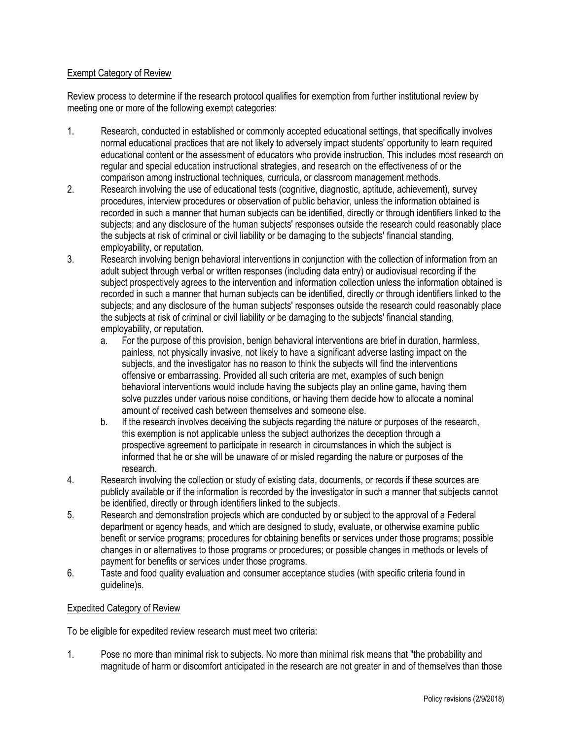## Exempt Category of Review

Review process to determine if the research protocol qualifies for exemption from further institutional review by meeting one or more of the following exempt categories:

- 1. Research, conducted in established or commonly accepted educational settings, that specifically involves normal educational practices that are not likely to adversely impact students' opportunity to learn required educational content or the assessment of educators who provide instruction. This includes most research on regular and special education instructional strategies, and research on the effectiveness of or the comparison among instructional techniques, curricula, or classroom management methods.
- 2. Research involving the use of educational tests (cognitive, diagnostic, aptitude, achievement), survey procedures, interview procedures or observation of public behavior, unless the information obtained is recorded in such a manner that human subjects can be identified, directly or through identifiers linked to the subjects; and any disclosure of the human subjects' responses outside the research could reasonably place the subjects at risk of criminal or civil liability or be damaging to the subjects' financial standing, employability, or reputation.
- 3. Research involving benign behavioral interventions in conjunction with the collection of information from an adult subject through verbal or written responses (including data entry) or audiovisual recording if the subject prospectively agrees to the intervention and information collection unless the information obtained is recorded in such a manner that human subjects can be identified, directly or through identifiers linked to the subjects; and any disclosure of the human subjects' responses outside the research could reasonably place the subjects at risk of criminal or civil liability or be damaging to the subjects' financial standing, employability, or reputation.
	- a. For the purpose of this provision, benign behavioral interventions are brief in duration, harmless, painless, not physically invasive, not likely to have a significant adverse lasting impact on the subjects, and the investigator has no reason to think the subjects will find the interventions offensive or embarrassing. Provided all such criteria are met, examples of such benign behavioral interventions would include having the subjects play an online game, having them solve puzzles under various noise conditions, or having them decide how to allocate a nominal amount of received cash between themselves and someone else.
	- b. If the research involves deceiving the subjects regarding the nature or purposes of the research, this exemption is not applicable unless the subject authorizes the deception through a prospective agreement to participate in research in circumstances in which the subject is informed that he or she will be unaware of or misled regarding the nature or purposes of the research.
- 4. Research involving the collection or study of existing data, documents, or records if these sources are publicly available or if the information is recorded by the investigator in such a manner that subjects cannot be identified, directly or through identifiers linked to the subjects.
- 5. Research and demonstration projects which are conducted by or subject to the approval of a Federal department or agency heads, and which are designed to study, evaluate, or otherwise examine public benefit or service programs; procedures for obtaining benefits or services under those programs; possible changes in or alternatives to those programs or procedures; or possible changes in methods or levels of payment for benefits or services under those programs.
- 6. Taste and food quality evaluation and consumer acceptance studies (with specific criteria found in guideline)s.

### Expedited Category of Review

To be eligible for expedited review research must meet two criteria:

1. Pose no more than minimal risk to subjects. No more than minimal risk means that "the probability and magnitude of harm or discomfort anticipated in the research are not greater in and of themselves than those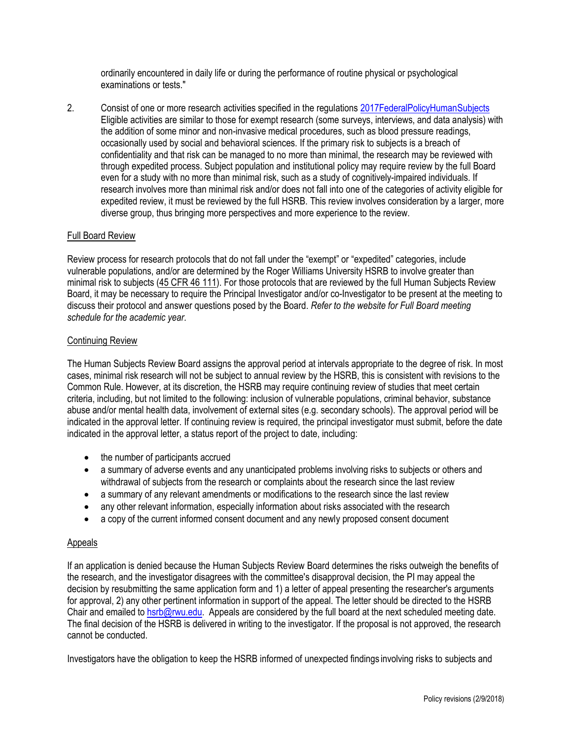ordinarily encountered in daily life or during the performance of routine physical or psychological examinations or tests."

2. Consist of one or more research activities specified in the regulations [2017FederalPolicyHumanSubjects](https://www.federalregister.gov/documents/2017/01/19/2017-01058/federal-policy-for-the-protection-of-human-subjects) Eligible activities are similar to those for exempt research (some surveys, interviews, and data analysis) with the addition of some minor and non-invasive medical procedures, such as blood pressure readings, occasionally used by social and behavioral sciences. If the primary risk to subjects is a breach of confidentiality and that risk can be managed to no more than minimal, the research may be reviewed with through expedited process. Subject population and institutional policy may require review by the full Board even for a study with no more than minimal risk, such as a study of cognitively-impaired individuals. If research involves more than minimal risk and/or does not fall into one of the categories of activity eligible for expedited review, it must be reviewed by the full HSRB. This review involves consideration by a larger, more diverse group, thus bringing more perspectives and more experience to the review.

## Full Board Review

Review process for research protocols that do not fall under the "exempt" or "expedited" categories, include vulnerable populations, and/or are determined by the Roger Williams University HSRB to involve greater than minimal risk to subjects [\(45 CFR 46 111\)](http://www.hhs.gov/ohrp/humansubjects/guidance/45cfr46.html#46.111). For those protocols that are reviewed by the full Human Subjects Review Board, it may be necessary to require the Principal Investigator and/or co-Investigator to be present at the meeting to discuss their protocol and answer questions posed by the Board. *Refer to the website for Full Board meeting schedule for the academic year.*

#### [Continuing](http://www.northeastern.edu/research/hsrp/irb/categories-of-review/) Review

The Human Subjects Review Board assigns the approval period at intervals appropriate to the degree of risk. In most cases, minimal risk research will not be subject to annual review by the HSRB, this is consistent with revisions to the Common Rule. However, at its discretion, the HSRB may require continuing review of studies that meet certain criteria, including, but not limited to the following: inclusion of vulnerable populations, criminal behavior, substance abuse and/or mental health data, involvement of external sites (e.g. secondary schools). The approval period will be indicated in the approval letter. If continuing review is required, the principal investigator must submit, before the date indicated in the approval letter, a status report of the project to date, including:

- the number of participants accrued
- a summary of adverse events and any unanticipated problems involving risks to subjects or others and withdrawal of subjects from the research or complaints about the research since the last review
- a summary of any relevant amendments or modifications to the research since the last review
- any other relevant information, especially information about risks associated with the research
- a copy of the current informed consent document and any newly proposed consent document

### Appeals

If an application is denied because the Human Subjects Review Board determines the risks outweigh the benefits of the research, and the investigator disagrees with the committee's disapproval decision, the PI may appeal the decision by resubmitting the same application form and 1) a letter of appeal presenting the researcher's arguments for approval, 2) any other pertinent information in support of the appeal. The letter should be directed to the HSRB Chair and emailed t[o hsrb@rwu.edu.](mailto:hsrb@rwu.edu) Appeals are considered by the full board at the next scheduled meeting date. The final decision of the HSRB is delivered in writing to the investigator. If the proposal is not approved, the research cannot be conducted.

Investigators have the obligation to keep the HSRB informed of unexpected findings involving risks to subjects and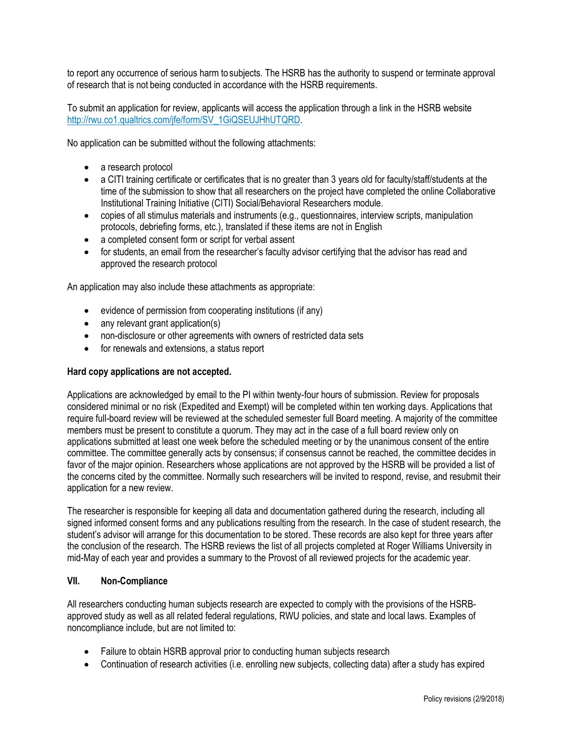to report any occurrence of serious harm to subjects. The HSRB has the authority to suspend or terminate approval of research that is not being conducted in accordance with the HSRB requirements.

To submit an application for review, applicants will access the application through a link in the HSRB website [http://rwu.co1.qualtrics.com/jfe/form/SV\\_1GiQSEUJHhUTQRD.](http://rwu.co1.qualtrics.com/jfe/form/SV_1GiQSEUJHhUTQRD)

No application can be submitted without the following attachments:

- a research protocol
- a CITI training certificate or certificates that is no greater than 3 years old for faculty/staff/students at the time of the submission to show that all researchers on the project have completed the online Collaborative Institutional Training Initiative (CITI) Social/Behavioral Researchers module.
- copies of all stimulus materials and instruments (e.g., questionnaires, interview scripts, manipulation protocols, debriefing forms, etc.), translated if these items are not in English
- a completed consent form or script for verbal assent
- for students, an email from the researcher's faculty advisor certifying that the advisor has read and approved the research protocol

An application may also include these attachments as appropriate:

- evidence of permission from cooperating institutions (if any)
- any relevant grant application(s)
- non-disclosure or other agreements with owners of restricted data sets
- for renewals and extensions, a status report

#### **Hard copy applications are not accepted.**

Applications are acknowledged by email to the PI within twenty-four hours of submission. Review for proposals considered minimal or no risk (Expedited and Exempt) will be completed within ten working days. Applications that require full-board review will be reviewed at the scheduled semester full Board meeting. A majority of the committee members must be present to constitute a quorum. They may act in the case of a full board review only on applications submitted at least one week before the scheduled meeting or by the unanimous consent of the entire committee. The committee generally acts by consensus; if consensus cannot be reached, the committee decides in favor of the major opinion. Researchers whose applications are not approved by the HSRB will be provided a list of the concerns cited by the committee. Normally such researchers will be invited to respond, revise, and resubmit their application for a new review.

The researcher is responsible for keeping all data and documentation gathered during the research, including all signed informed consent forms and any publications resulting from the research. In the case of student research, the student's advisor will arrange for this documentation to be stored. These records are also kept for three years after the conclusion of the research. The HSRB reviews the list of all projects completed at Roger Williams University in mid-May of each year and provides a summary to the Provost of all reviewed projects for the academic year.

#### **VII. Non-Compliance**

All researchers conducting human subjects research are expected to comply with the provisions of the HSRBapproved study as well as all related federal regulations, RWU policies, and state and local laws. Examples of noncompliance include, but are not limited to:

- Failure to obtain HSRB approval prior to conducting human subjects research
- Continuation of research activities (i.e. enrolling new subjects, collecting data) after a study has expired